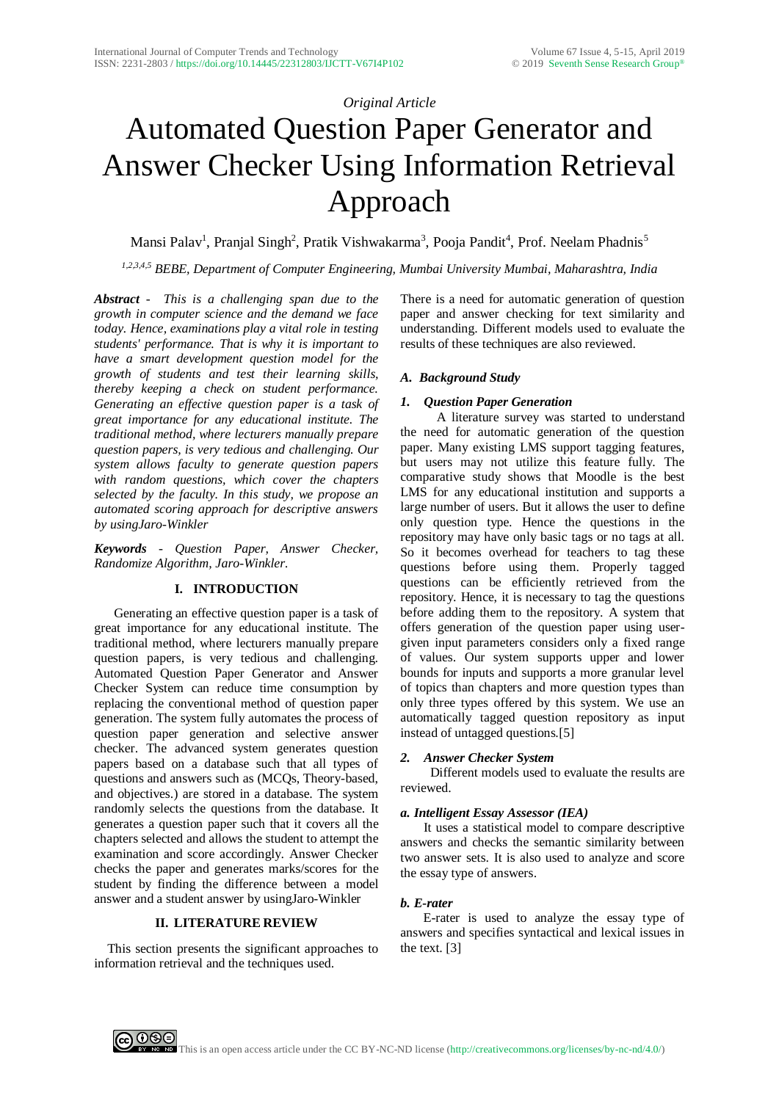# *Original Article*

# Automated Question Paper Generator and Answer Checker Using Information Retrieval Approach

Mansi Palav<sup>1</sup>, Pranjal Singh<sup>2</sup>, Pratik Vishwakarma<sup>3</sup>, Pooja Pandit<sup>4</sup>, Prof. Neelam Phadnis<sup>5</sup>

*1,2,3,4,5 BEBE, Department of Computer Engineering, Mumbai University Mumbai, Maharashtra, India*

*Abstract - This is a challenging span due to the growth in computer science and the demand we face today. Hence, examinations play a vital role in testing students' performance. That is why it is important to have a smart development question model for the growth of students and test their learning skills, thereby keeping a check on student performance. Generating an effective question paper is a task of great importance for any educational institute. The traditional method, where lecturers manually prepare question papers, is very tedious and challenging. Our system allows faculty to generate question papers with random questions, which cover the chapters selected by the faculty. In this study, we propose an automated scoring approach for descriptive answers by usingJaro-Winkler*

*Keywords - Question Paper, Answer Checker, Randomize Algorithm, Jaro-Winkler.*

## **I. INTRODUCTION**

 Generating an effective question paper is a task of great importance for any educational institute. The traditional method, where lecturers manually prepare question papers, is very tedious and challenging*.* Automated Question Paper Generator and Answer Checker System can reduce time consumption by replacing the conventional method of question paper generation. The system fully automates the process of question paper generation and selective answer checker. The advanced system generates question papers based on a database such that all types of questions and answers such as (MCQs, Theory-based, and objectives.) are stored in a database. The system randomly selects the questions from the database. It generates a question paper such that it covers all the chapters selected and allows the student to attempt the examination and score accordingly. Answer Checker checks the paper and generates marks/scores for the student by finding the difference between a model answer and a student answer by usingJaro-Winkler

## **II. LITERATURE REVIEW**

 This section presents the significant approaches to information retrieval and the techniques used.

There is a need for automatic generation of question paper and answer checking for text similarity and understanding. Different models used to evaluate the results of these techniques are also reviewed.

## *A. Background Study*

## *1. Question Paper Generation*

 A literature survey was started to understand the need for automatic generation of the question paper. Many existing LMS support tagging features, but users may not utilize this feature fully. The comparative study shows that Moodle is the best LMS for any educational institution and supports a large number of users. But it allows the user to define only question type. Hence the questions in the repository may have only basic tags or no tags at all. So it becomes overhead for teachers to tag these questions before using them. Properly tagged questions can be efficiently retrieved from the repository. Hence, it is necessary to tag the questions before adding them to the repository. A system that offers generation of the question paper using usergiven input parameters considers only a fixed range of values. Our system supports upper and lower bounds for inputs and supports a more granular level of topics than chapters and more question types than only three types offered by this system. We use an automatically tagged question repository as input instead of untagged questions.[5]

## *2. Answer Checker System*

 Different models used to evaluate the results are reviewed.

## *a. Intelligent Essay Assessor (IEA)*

 It uses a statistical model to compare descriptive answers and checks the semantic similarity between two answer sets. It is also used to analyze and score the essay type of answers.

## *b. E-rater*

 E-rater is used to analyze the essay type of answers and specifies syntactical and lexical issues in the text. [3]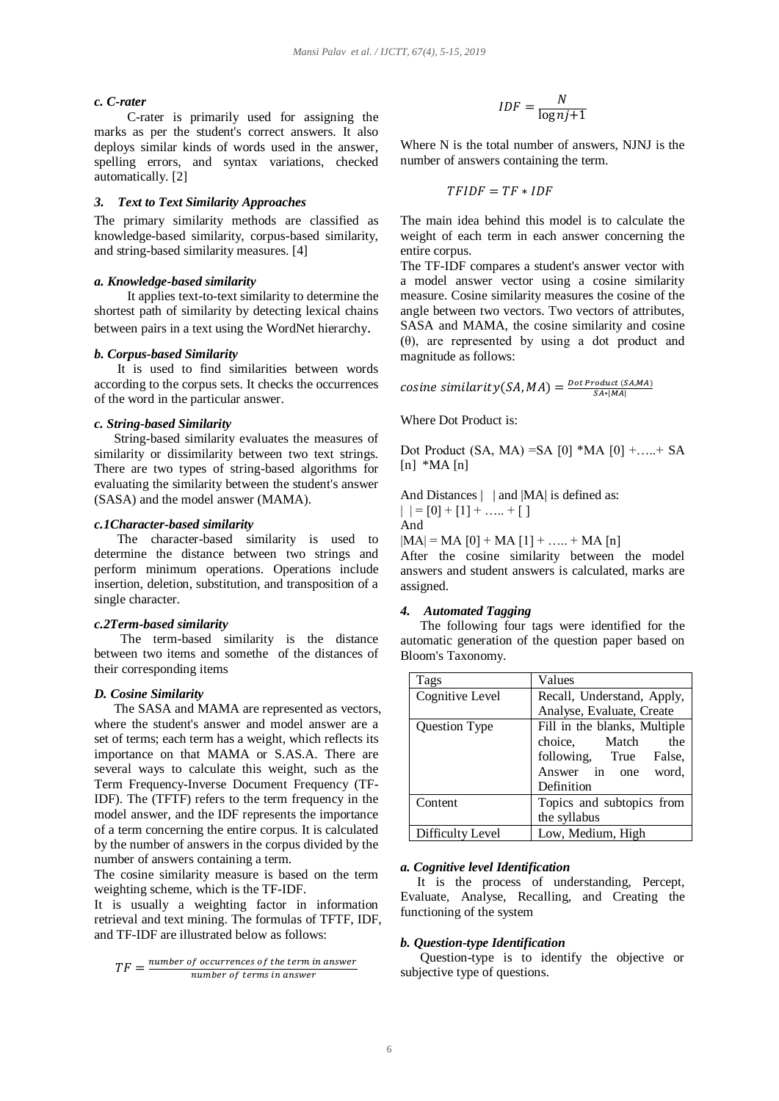#### *c. C-rater*

 C-rater is primarily used for assigning the marks as per the student's correct answers. It also deploys similar kinds of words used in the answer, spelling errors, and syntax variations, checked automatically. [2]

#### *3. Text to Text Similarity Approaches*

The primary similarity methods are classified as knowledge-based similarity, corpus-based similarity, and string-based similarity measures. [4]

#### *a. Knowledge-based similarity*

 It applies text-to-text similarity to determine the shortest path of similarity by detecting lexical chains between pairs in a text using the WordNet hierarchy.

#### *b. Corpus-based Similarity*

 It is used to find similarities between words according to the corpus sets. It checks the occurrences of the word in the particular answer.

#### *c. String-based Similarity*

 String-based similarity evaluates the measures of similarity or dissimilarity between two text strings. There are two types of string-based algorithms for evaluating the similarity between the student's answer (SASA) and the model answer (MAMA).

#### *c.1Character-based similarity*

 The character-based similarity is used to determine the distance between two strings and perform minimum operations. Operations include insertion, deletion, substitution, and transposition of a single character.

#### *c.2Term-based similarity*

 The term-based similarity is the distance between two items and somethe of the distances of their corresponding items

#### *D. Cosine Similarity*

 The SASA and MAMA are represented as vectors, where the student's answer and model answer are a set of terms; each term has a weight, which reflects its importance on that MAMA or S.AS.A. There are several ways to calculate this weight, such as the Term Frequency-Inverse Document Frequency (TF-IDF). The (TFTF) refers to the term frequency in the model answer, and the IDF represents the importance of a term concerning the entire corpus. It is calculated by the number of answers in the corpus divided by the number of answers containing a term.

The cosine similarity measure is based on the term weighting scheme, which is the TF-IDF.

It is usually a weighting factor in information retrieval and text mining. The formulas of TFTF, IDF, and TF-IDF are illustrated below as follows:

$$
TF = \frac{number\ of\ occurrences\ of\ the\ term\ in\ answer}{number\ of\ terms\ in\ answer}
$$

$$
IDF = \frac{N}{\log nj + 1}
$$

Where N is the total number of answers, NJNJ is the number of answers containing the term.

$$
TFIDF = TF * IDF
$$

The main idea behind this model is to calculate the weight of each term in each answer concerning the entire corpus.

The TF-IDF compares a student's answer vector with a model answer vector using a cosine similarity measure. Cosine similarity measures the cosine of the angle between two vectors. Two vectors of attributes, SASA and MAMA, the cosine similarity and cosine (θ), are represented by using a dot product and magnitude as follows:

cosine similarity  $(SA, MA) = \frac{Dot Product (S A, MA)}{SA * |MA|}$ 

Where Dot Product is:

Dot Product (SA, MA) = SA  $[0]$  \*MA  $[0]$  +....+ SA  $[n]$  \*MA $[n]$ 

And Distances | | and |MA| is defined as:  $| | = [0] + [1] + \ldots + [1]$ And

 $|MA| = MA [0] + MA [1] + ... + MA [n]$ 

After the cosine similarity between the model answers and student answers is calculated, marks are assigned.

#### *4. Automated Tagging*

 The following four tags were identified for the automatic generation of the question paper based on Bloom's Taxonomy.

| Tags             | Values                       |
|------------------|------------------------------|
| Cognitive Level  | Recall, Understand, Apply,   |
|                  | Analyse, Evaluate, Create    |
| Question Type    | Fill in the blanks, Multiple |
|                  | choice,<br>Match<br>the      |
|                  | following, True<br>False,    |
|                  | Answer in<br>word.<br>one    |
|                  | Definition                   |
| Content          | Topics and subtopics from    |
|                  | the syllabus                 |
| Difficulty Level | Low, Medium, High            |

#### *a. Cognitive level Identification*

 It is the process of understanding, Percept, Evaluate, Analyse, Recalling, and Creating the functioning of the system

#### *b. Question-type Identification*

 Question-type is to identify the objective or subjective type of questions.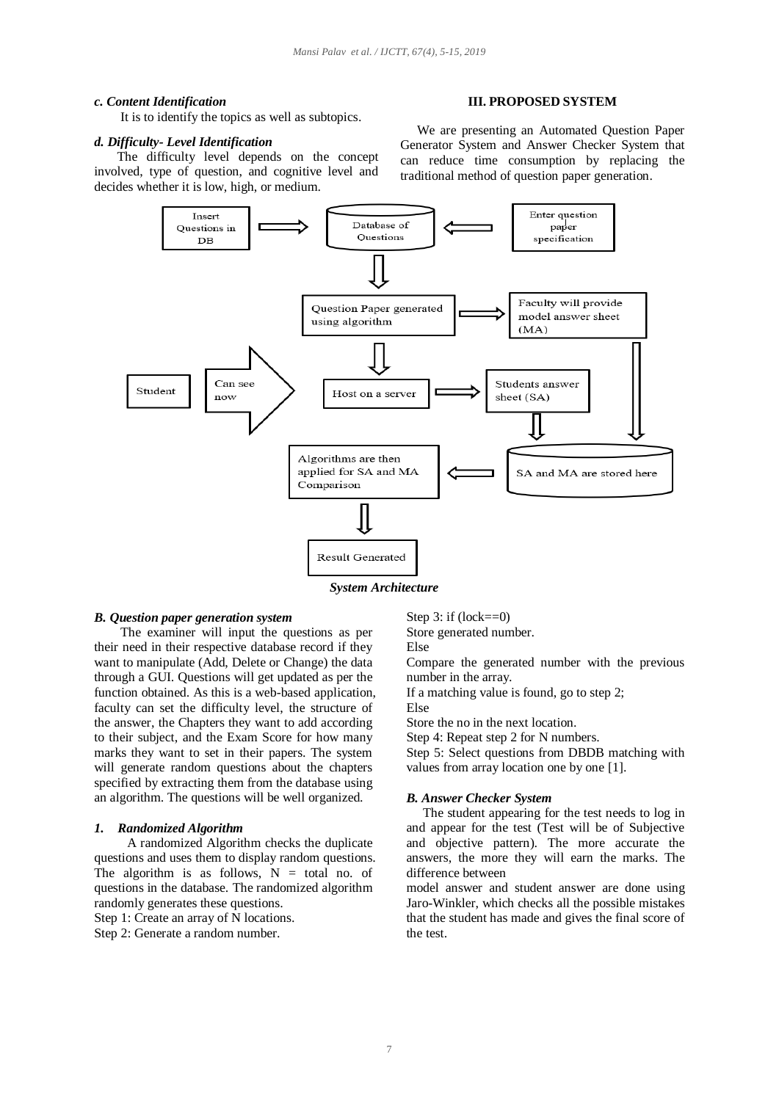#### *c. Content Identification*

It is to identify the topics as well as subtopics.

#### *d. Difficulty- Level Identification*

 The difficulty level depends on the concept involved, type of question, and cognitive level and decides whether it is low, high, or medium.

#### **III. PROPOSED SYSTEM**

 We are presenting an Automated Question Paper Generator System and Answer Checker System that can reduce time consumption by replacing the traditional method of question paper generation.



*System Architecture*

#### *B. Question paper generation system*

 The examiner will input the questions as per their need in their respective database record if they want to manipulate (Add, Delete or Change) the data through a GUI. Questions will get updated as per the function obtained. As this is a web-based application, faculty can set the difficulty level, the structure of the answer, the Chapters they want to add according to their subject, and the Exam Score for how many marks they want to set in their papers. The system will generate random questions about the chapters specified by extracting them from the database using an algorithm. The questions will be well organized.

#### *1. Randomized Algorithm*

 A randomized Algorithm checks the duplicate questions and uses them to display random questions. The algorithm is as follows,  $N =$  total no. of questions in the database. The randomized algorithm randomly generates these questions.

Step 1: Create an array of N locations.

Step 2: Generate a random number.

Step 3: if  $(lock==0)$ 

Store generated number.

Else

Compare the generated number with the previous number in the array.

If a matching value is found, go to step 2; Else

Store the no in the next location. Step 4: Repeat step 2 for N numbers.

Step 5: Select questions from DBDB matching with values from array location one by one [1].

#### *B. Answer Checker System*

 The student appearing for the test needs to log in and appear for the test (Test will be of Subjective and objective pattern). The more accurate the answers, the more they will earn the marks. The difference between

model answer and student answer are done using Jaro-Winkler, which checks all the possible mistakes that the student has made and gives the final score of the test.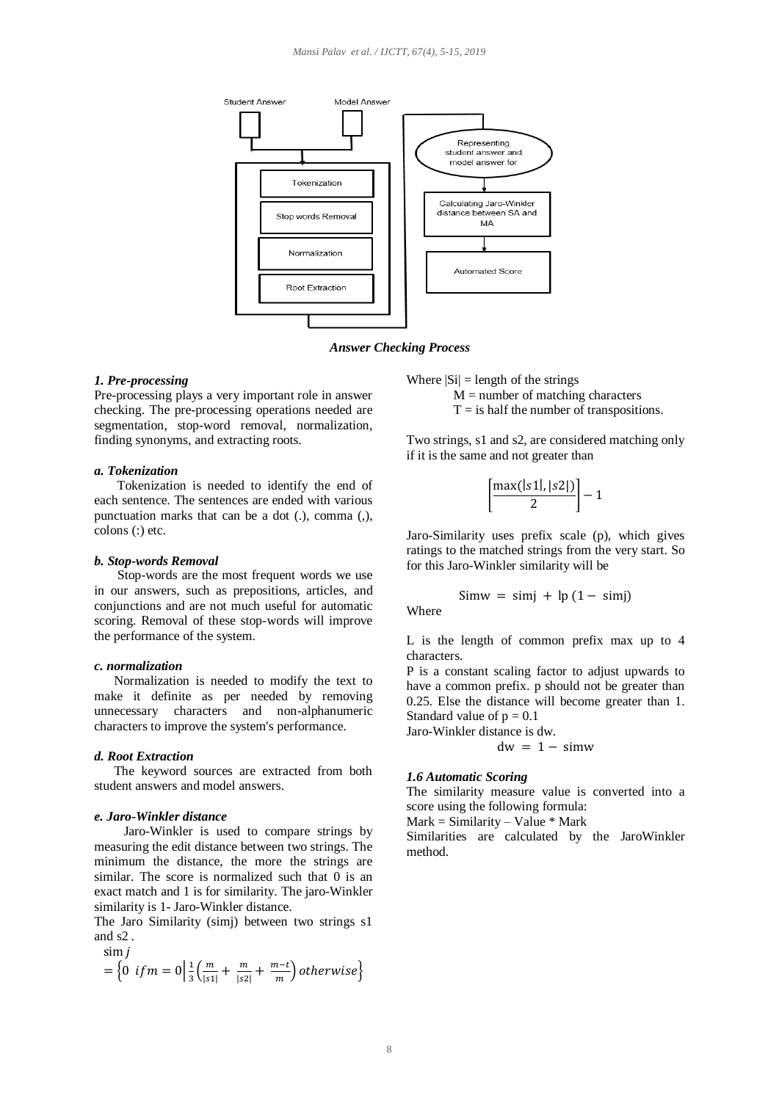

*Answer Checking Process*

#### *1. Pre-processing*

Pre-processing plays a very important role in answer checking. The pre-processing operations needed are segmentation, stop-word removal, normalization, finding synonyms, and extracting roots.

## *a. Tokenization*

 Tokenization is needed to identify the end of each sentence. The sentences are ended with various punctuation marks that can be a dot (.), comma (,), colons (:) etc.

#### *b. Stop-words Removal*

 Stop-words are the most frequent words we use in our answers, such as prepositions, articles, and conjunctions and are not much useful for automatic scoring. Removal of these stop-words will improve the performance of the system.

## *c. normalization*

 Normalization is needed to modify the text to make it definite as per needed by removing unnecessary characters and non-alphanumeric characters to improve the system's performance.

#### *d. Root Extraction*

 The keyword sources are extracted from both student answers and model answers.

#### *e. Jaro-Winkler distance*

 Jaro-Winkler is used to compare strings by measuring the edit distance between two strings. The minimum the distance, the more the strings are similar. The score is normalized such that 0 is an exact match and 1 is for similarity. The jaro-Winkler similarity is 1- Jaro-Winkler distance.

The Jaro Similarity (simj) between two strings s1 and s2 . sim

$$
= \left\{0 \text{ if } m = 0 \middle| \frac{1}{3} \left( \frac{m}{|s1|} + \frac{m}{|s2|} + \frac{m-t}{m} \right) \text{ otherwise} \right\}
$$

Where  $|Si| =$  length of the strings  $M =$  number of matching characters  $T = i s$  half the number of transpositions.

Two strings, s1 and s2, are considered matching only if it is the same and not greater than

$$
\left[\frac{\max(|s1|,|s2|)}{2}\right]-1
$$

Jaro-Similarity uses prefix scale (p), which gives ratings to the matched strings from the very start. So for this Jaro-Winkler similarity will be

$$
Simw = simj + lp (1 - simj)
$$
Where

L is the length of common prefix max up to 4 characters.

P is a constant scaling factor to adjust upwards to have a common prefix. p should not be greater than 0.25. Else the distance will become greater than 1. Standard value of  $p = 0.1$ Jaro-Winkler distance is dw.

$$
dw = 1 - simw
$$

#### *1.6 Automatic Scoring*

The similarity measure value is converted into a score using the following formula:

 $Mark = Similarity - Value * Mark$ 

Similarities are calculated by the JaroWinkler method.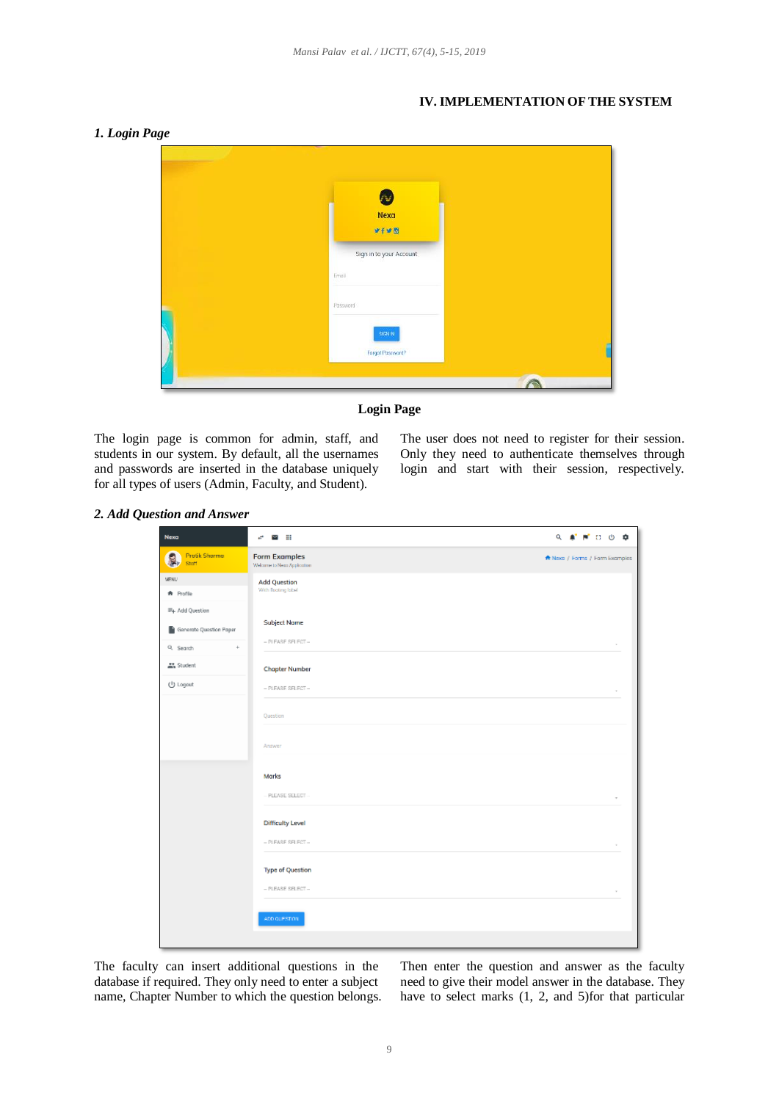## **IV. IMPLEMENTATION OF THE SYSTEM**

## *1. Login Page*

| ❸<br>Nexa<br>$9 + 9 = 8$         |  |
|----------------------------------|--|
| Sign in to your Account<br>Email |  |
| Password<br>SIGNIN               |  |
| Forgat Password?                 |  |



The login page is common for admin, staff, and students in our system. By default, all the usernames and passwords are inserted in the database uniquely for all types of users (Admin, Faculty, and Student).

The user does not need to register for their session. Only they need to authenticate themselves through login and start with their session, respectively.

## *2. Add Question and Answer*

| Nexa                        | $\sigma$ <b>x</b> iii                               | 9. 单 严 口 ① 章                   |
|-----------------------------|-----------------------------------------------------|--------------------------------|
| Protik Shorma<br>Ş<br>Staff | <b>Form Examples</b><br>Welcome to Nexa Application | ★ Nexa / Forms / Form Examples |
| MENU                        | <b>Add Question</b>                                 |                                |
| <b>A</b> Profile            | With floating label                                 |                                |
| =+ Add Question             |                                                     |                                |
| Generate Question Paper     | <b>Subject Name</b>                                 |                                |
| Q. Search<br>$\ddag$        | - PLEASE SELECT-                                    |                                |
| At Student                  | <b>Chapter Number</b>                               |                                |
| (l) Logout                  | $-$ PLEASE SELECT $-$                               |                                |
|                             |                                                     |                                |
|                             | Question                                            |                                |
|                             | Answer                                              |                                |
|                             |                                                     |                                |
|                             | Marks                                               |                                |
|                             | - PLEASE SELECT --                                  |                                |
|                             | <b>Difficulty Level</b>                             |                                |
|                             | - PLEASE SELECT-                                    |                                |
|                             |                                                     |                                |
|                             | <b>Type of Question</b>                             |                                |
|                             | $-$ PLEASE SELECT $-$                               |                                |
|                             |                                                     |                                |
|                             | ADD QUESTION.                                       |                                |
|                             |                                                     |                                |

The faculty can insert additional questions in the database if required. They only need to enter a subject name, Chapter Number to which the question belongs. Then enter the question and answer as the faculty need to give their model answer in the database. They have to select marks (1, 2, and 5)for that particular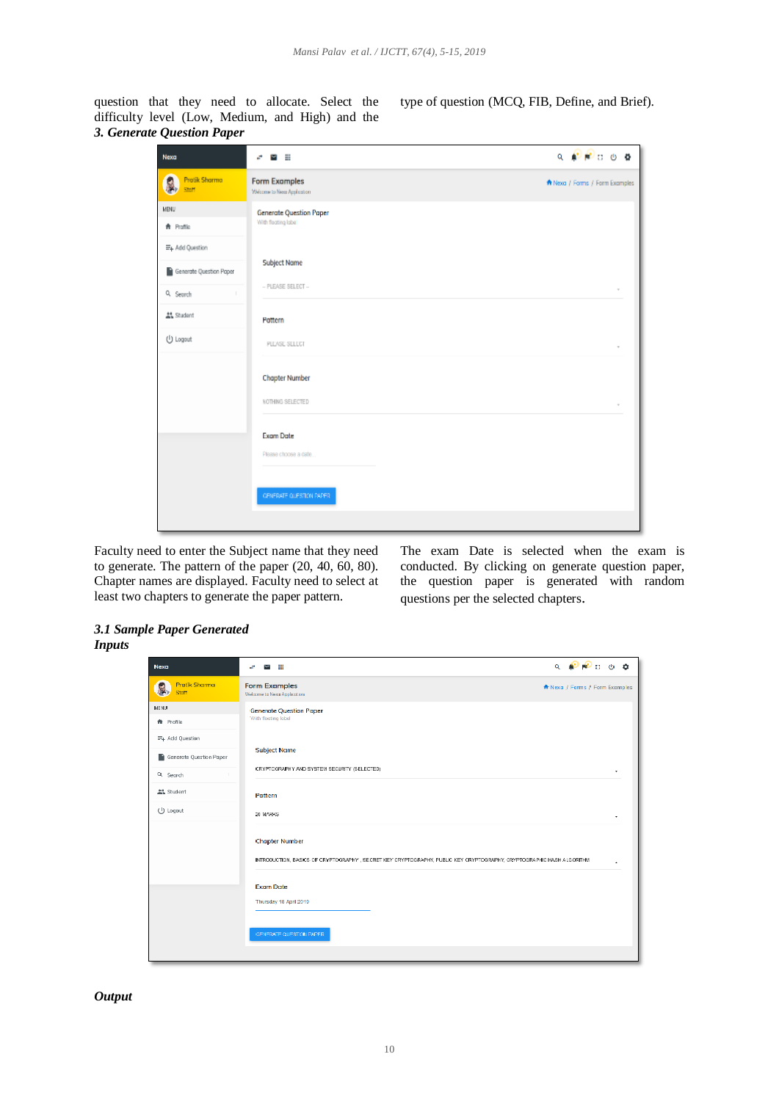question that they need to allocate. Select the difficulty level (Low, Medium, and High) and the *3. Generate Question Paper*

| Nexa                                       | Ħ<br>ø<br>м                                         | Q <b>A</b> N C O O             |
|--------------------------------------------|-----------------------------------------------------|--------------------------------|
| <b>Pratik Sharma</b><br>S,<br>Stoff        | <b>Form Examples</b><br>Welcome to Nexa Application | ★ Nexa / Forms / Form Examples |
| <b>URBN</b><br><b>音</b> Profile            | Generate Question Paper<br>With floating label      |                                |
| E+ Add Question<br>Generate Question Paper | <b>Subject Name</b>                                 |                                |
| Q Search<br>AL Student                     | $-$ PLEASE SELECT $-$<br>Pattern                    |                                |
| (J) Logout                                 | PLEASE SELECT                                       |                                |
|                                            | <b>Chapter Number</b>                               |                                |
|                                            | NOTHING SELECTED                                    |                                |
|                                            | <b>Exam Date</b><br>Please choose a date            |                                |
|                                            | CENERATE QUESTION PAPER.                            |                                |
|                                            |                                                     |                                |

Faculty need to enter the Subject name that they need to generate. The pattern of the paper (20, 40, 60, 80). Chapter names are displayed. Faculty need to select at least two chapters to generate the paper pattern.

The exam Date is selected when the exam is conducted. By clicking on generate question paper, the question paper is generated with random questions per the selected chapters.

## *3.1 Sample Paper Generated Inputs*

| Nexa                    | $Q = 1$<br>÷<br>a.<br>M                                                                                                                     |
|-------------------------|---------------------------------------------------------------------------------------------------------------------------------------------|
| Protik Sharma<br>Stoff  | <b>Form Examples</b><br>★ Nexa / Forms / Form Examples<br>Welcome to Nexa Application                                                       |
| <b>MENU</b>             | Generate Question Paper                                                                                                                     |
| <b>★</b> Profile        | With floating label                                                                                                                         |
| E+ Add Question         |                                                                                                                                             |
| Generate Question Paper | Subject Name                                                                                                                                |
| Q. Search<br>-11        | CRYPTOGRAPHY AND SYSTEM SECURITY (SELECTED)<br>٠                                                                                            |
| <b>AL</b> Shudent       | Pattern                                                                                                                                     |
| (J) Logout              | 20 MARROS<br>٠                                                                                                                              |
|                         | Chapter Number<br>INTRODUCTION, BASICS OF CRYPTOGRAPHY, SECRET KEY CRYPTOGRAPHY, PUBLIC KEY CRYPTOGRAPHY, CRYPTOGRAPHIC HASH ALGORITHM<br>٠ |
|                         | <b>Exam Date</b>                                                                                                                            |
|                         | Thursday 18 April 2019                                                                                                                      |
|                         | CENERATE QUESTION PAPER.                                                                                                                    |
|                         |                                                                                                                                             |

## *Output*

type of question (MCQ, FIB, Define, and Brief).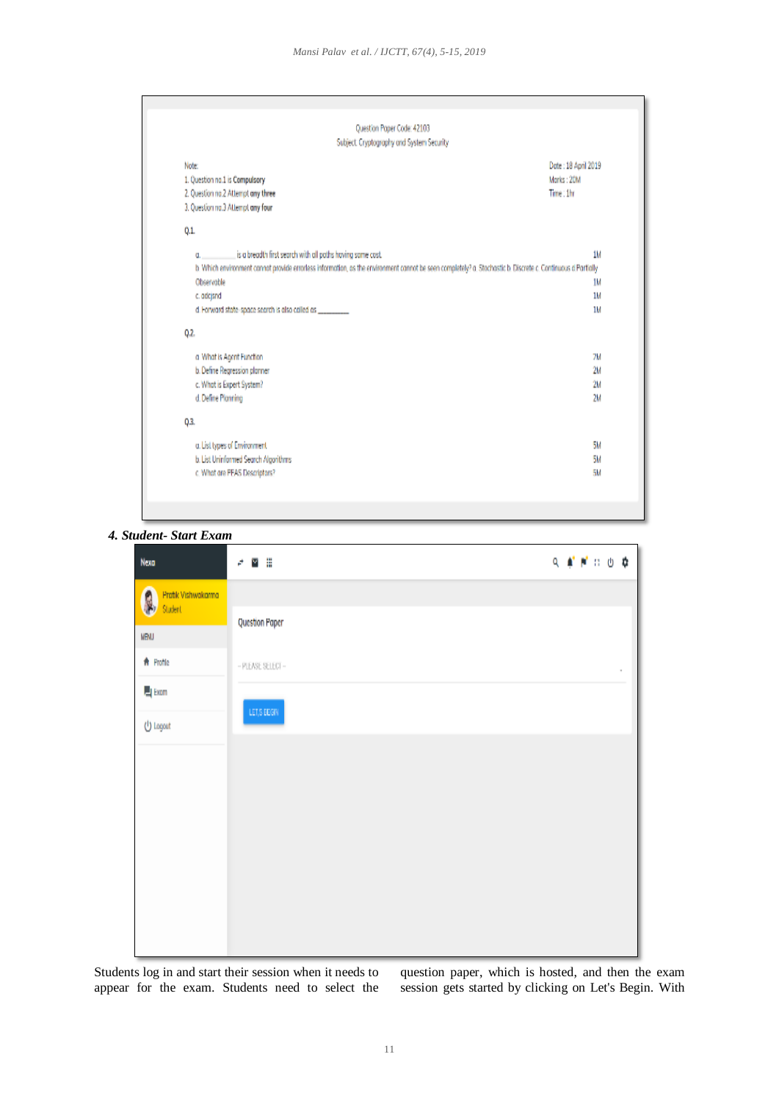| Question Paper Code: 42103                                                                                                                                   |            |
|--------------------------------------------------------------------------------------------------------------------------------------------------------------|------------|
| Subject: Cryptography and System Security                                                                                                                    |            |
| Date: 18 April 2019<br>Note:                                                                                                                                 |            |
| 1. Question no.1 is Compulsory                                                                                                                               | Marks: 20M |
| 2. Question no.2 Attempt any three                                                                                                                           | Time: 1hr  |
| 3. Question no.3 Attempt any four                                                                                                                            |            |
| 0.1.                                                                                                                                                         |            |
| is a breadth first search with all paths having same cost.<br>α.                                                                                             | 1M         |
| b. Which environment cannat provide errorless information, as the environment cannot be seen completely? a. Stochastic b. Discrete c. Continuous d Partially |            |
| Observable                                                                                                                                                   | 1M         |
| c. adcjsnd                                                                                                                                                   | 1M         |
| d. Forward state-space search is also called as __________                                                                                                   | 1M         |
| Q.2                                                                                                                                                          |            |
| a What is Agent Function                                                                                                                                     | 7M         |
| b. Define Regression planner                                                                                                                                 | 2M         |
| c. What is Expert System?                                                                                                                                    | 2M         |
| d. Define Planning                                                                                                                                           | 2M         |
| 0.3.                                                                                                                                                         |            |
| a. List types of Environment                                                                                                                                 | 5M         |
| b. List Uninformed Search Algorithms                                                                                                                         | 5M         |
| c. What are PEAS Descriptors?                                                                                                                                | 5M         |

```
4. Student- Start Exam
```

| Nexa                                | ם ∨<br>è          |  | 9. 单节口 6. 章 |                     |
|-------------------------------------|-------------------|--|-------------|---------------------|
| ß,<br>Pratik Vishwakarma<br>Student |                   |  |             |                     |
| MENU                                | Question Paper    |  |             |                     |
| 音 Profile                           | - PLEASE SELECT - |  |             | $\scriptstyle\rm s$ |
| $\Box$ Exam                         |                   |  |             |                     |
| (l) Logout                          | LET, SIEGEN       |  |             |                     |
|                                     |                   |  |             |                     |
|                                     |                   |  |             |                     |
|                                     |                   |  |             |                     |
|                                     |                   |  |             |                     |
|                                     |                   |  |             |                     |
|                                     |                   |  |             |                     |
|                                     |                   |  |             |                     |

Students log in and start their session when it needs to appear for the exam. Students need to select the

question paper, which is hosted, and then the exam session gets started by clicking on Let's Begin. With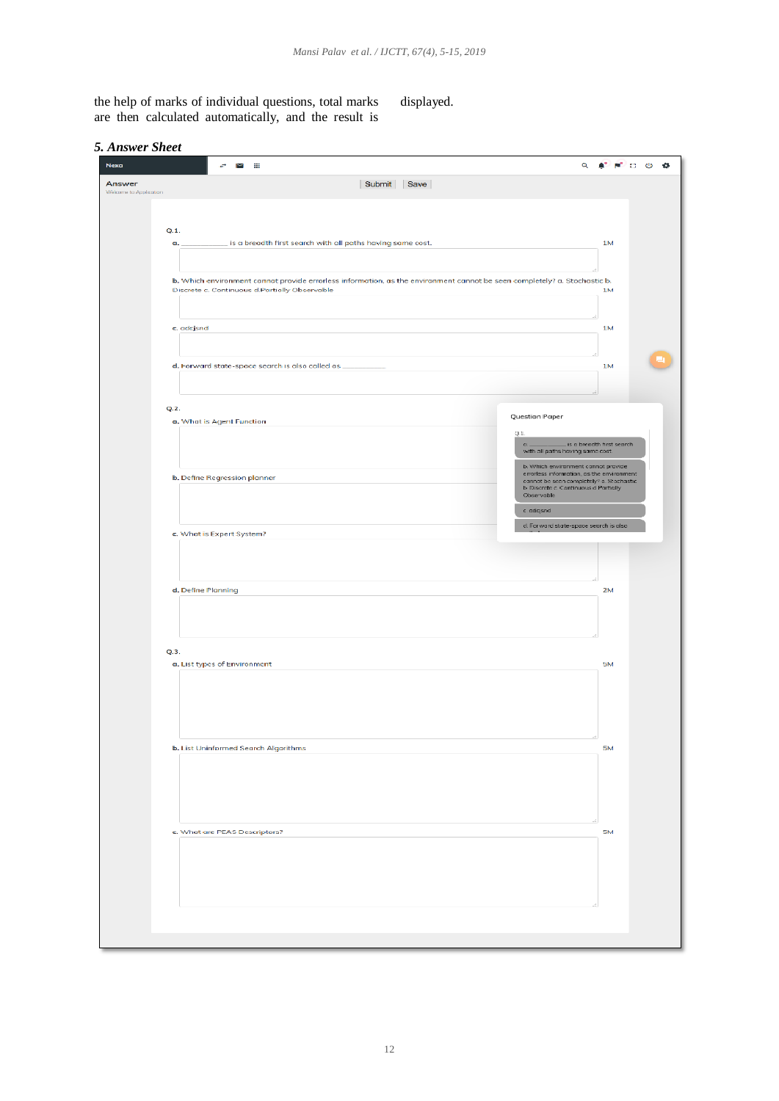the help of marks of individual questions, total marks are then calculated automatically, and the result is

displayed.

| <b>Nexa</b>                      | י א<br>$\alpha$<br>÷                                                                                                                                         |                           | $\bullet$ $\bullet$ $\bullet$ $\bullet$ |
|----------------------------------|--------------------------------------------------------------------------------------------------------------------------------------------------------------|---------------------------|-----------------------------------------|
| Answer<br>Welcome to Application | Submit Save                                                                                                                                                  |                           |                                         |
|                                  |                                                                                                                                                              |                           |                                         |
| Q.1.                             |                                                                                                                                                              |                           |                                         |
| α.                               | is a breadth first search with all paths having same cost.                                                                                                   | 1M                        |                                         |
|                                  |                                                                                                                                                              |                           |                                         |
|                                  | b. Which environment cannot provide errorless information, as the environment cannot be seen completely? a. Stochastic b.                                    | 1M                        |                                         |
|                                  | Discrete c. Continuous d.Partially Observable                                                                                                                |                           |                                         |
| c. adcjsnd                       |                                                                                                                                                              | 1M                        |                                         |
|                                  |                                                                                                                                                              |                           |                                         |
|                                  | d. Forward state-space search is also called as __                                                                                                           | 1M                        |                                         |
|                                  |                                                                                                                                                              |                           |                                         |
|                                  |                                                                                                                                                              |                           |                                         |
| Q.2.                             | Question Paper<br>a. What is Agent Function                                                                                                                  |                           |                                         |
|                                  | Q1.                                                                                                                                                          |                           |                                         |
|                                  | $a_{-}$<br>with all paths hoving same cost.                                                                                                                  | is a breadth first search |                                         |
|                                  | b. Which environment connot provide<br>errorless information, as the environment<br>b. Define Regression planner<br>cannot be seen completely? a. Stochastic |                           |                                         |
|                                  | b Discrete c Continuous d'Particily<br>Observable                                                                                                            |                           |                                         |
|                                  | c. adqsnd                                                                                                                                                    |                           |                                         |
|                                  | d. Forward state-space search is also<br>c. What is Expert System?                                                                                           |                           |                                         |
|                                  |                                                                                                                                                              |                           |                                         |
|                                  |                                                                                                                                                              |                           |                                         |
|                                  | d. Define Planning                                                                                                                                           | 2M                        |                                         |
|                                  |                                                                                                                                                              |                           |                                         |
|                                  |                                                                                                                                                              |                           |                                         |
| Q.3.                             |                                                                                                                                                              |                           |                                         |
|                                  | a. List types of Environment                                                                                                                                 | <b>5M</b>                 |                                         |
|                                  |                                                                                                                                                              |                           |                                         |
|                                  |                                                                                                                                                              |                           |                                         |
|                                  |                                                                                                                                                              |                           |                                         |
|                                  | b. List Uninformed Search Algorithms                                                                                                                         | <b>5M</b>                 |                                         |
|                                  |                                                                                                                                                              |                           |                                         |
|                                  |                                                                                                                                                              |                           |                                         |
|                                  |                                                                                                                                                              |                           |                                         |
|                                  | c. What are PEAS Descriptors?                                                                                                                                | 5M                        |                                         |
|                                  |                                                                                                                                                              |                           |                                         |
|                                  |                                                                                                                                                              |                           |                                         |
|                                  |                                                                                                                                                              |                           |                                         |
|                                  |                                                                                                                                                              |                           |                                         |
|                                  |                                                                                                                                                              |                           |                                         |
|                                  |                                                                                                                                                              |                           |                                         |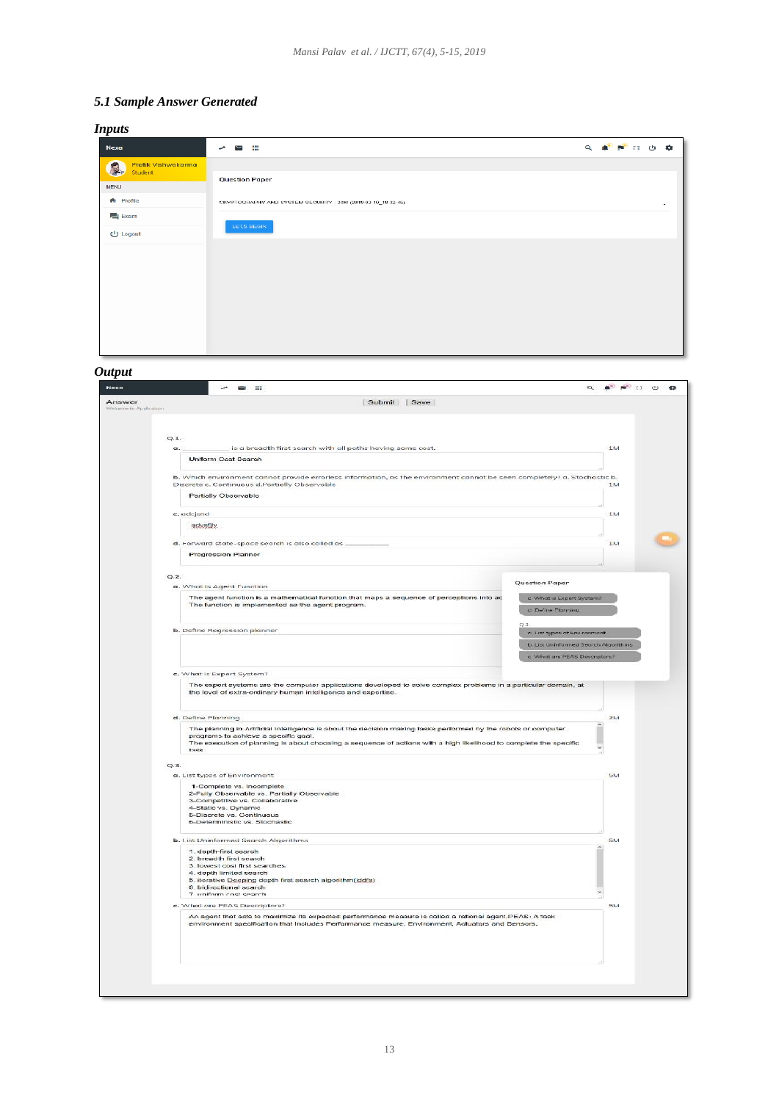# *5.1 Sample Answer Generated*

| $Q_{\alpha} = \frac{1}{2} \sum_{i=1}^{n} \frac{1}{2} \sum_{i=1}^{n} \frac{1}{2} \sum_{i=1}^{n} \frac{1}{2} \sum_{i=1}^{n} \frac{1}{2} \sum_{i=1}^{n} \frac{1}{2} \sum_{i=1}^{n} \frac{1}{2} \sum_{i=1}^{n} \frac{1}{2} \sum_{i=1}^{n} \frac{1}{2} \sum_{i=1}^{n} \frac{1}{2} \sum_{i=1}^{n} \frac{1}{2} \sum_{i=1}^{n} \frac{1}{2} \sum_{i=1}^{n} \frac{1}{2} \sum_{$ |
|-----------------------------------------------------------------------------------------------------------------------------------------------------------------------------------------------------------------------------------------------------------------------------------------------------------------------------------------------------------------------|
|                                                                                                                                                                                                                                                                                                                                                                       |
|                                                                                                                                                                                                                                                                                                                                                                       |
| ۰                                                                                                                                                                                                                                                                                                                                                                     |
|                                                                                                                                                                                                                                                                                                                                                                       |
|                                                                                                                                                                                                                                                                                                                                                                       |
|                                                                                                                                                                                                                                                                                                                                                                       |
|                                                                                                                                                                                                                                                                                                                                                                       |
|                                                                                                                                                                                                                                                                                                                                                                       |
|                                                                                                                                                                                                                                                                                                                                                                       |
|                                                                                                                                                                                                                                                                                                                                                                       |
|                                                                                                                                                                                                                                                                                                                                                                       |

## *Output*

|                                                                                                                                                                                                                                                                                     | $Q \oplus P$ $Q$ $Q$ $Q$             |
|-------------------------------------------------------------------------------------------------------------------------------------------------------------------------------------------------------------------------------------------------------------------------------------|--------------------------------------|
| Submit Save<br>Exerver Ltd Agriduction                                                                                                                                                                                                                                              |                                      |
|                                                                                                                                                                                                                                                                                     |                                      |
| Q.1.                                                                                                                                                                                                                                                                                |                                      |
| is a breadth first search with all paths having same cost.<br>$\alpha$                                                                                                                                                                                                              | 134                                  |
| Uniform Cost Search                                                                                                                                                                                                                                                                 |                                      |
| b. Which environment cannot provide errorless information, as the environment cannot be seen completely? a. Stochastic b.                                                                                                                                                           |                                      |
| Discrete c. Continuous d.Partially Observable                                                                                                                                                                                                                                       | 1 6.1                                |
| Partially Observable                                                                                                                                                                                                                                                                |                                      |
| c. adcjsnd                                                                                                                                                                                                                                                                          | 1M                                   |
| advstjiv                                                                                                                                                                                                                                                                            |                                      |
|                                                                                                                                                                                                                                                                                     | 13.4                                 |
| d. Forward state-space search is also called as.<br>Progression Planner                                                                                                                                                                                                             |                                      |
|                                                                                                                                                                                                                                                                                     |                                      |
| Q.2.                                                                                                                                                                                                                                                                                |                                      |
| Question Paper<br>a. What is Agent Function                                                                                                                                                                                                                                         |                                      |
| The agent function is a mathematical function that maps a sequence of perceptions into ac<br>c. What is Expert System?                                                                                                                                                              |                                      |
| The function is implemented as the agent program.<br>d. Define Planning                                                                                                                                                                                                             |                                      |
| 0.31                                                                                                                                                                                                                                                                                |                                      |
| b. Define Regression planner<br>a List types of Environment                                                                                                                                                                                                                         |                                      |
|                                                                                                                                                                                                                                                                                     | b. List Uninformed Search Algorithms |
|                                                                                                                                                                                                                                                                                     | c What are PEAS Descriptors?         |
| c. What is Expert System?                                                                                                                                                                                                                                                           |                                      |
| The expert systems are the computer applications developed to solve complex problems in a particular domain, at<br>the level of extra-ordinary human intelligence and expertise.                                                                                                    |                                      |
| d. Define Planning                                                                                                                                                                                                                                                                  | 2M                                   |
| The planning in Artificial Intelligence is about the decision making tasks performed by the robots or computer<br>programs to achieve a specific goal.<br>The execution of planning is about choosing a sequence of actions with a high likelihood to complete the specific<br>task |                                      |
|                                                                                                                                                                                                                                                                                     |                                      |
| Q.3.<br>a. List types of Environment                                                                                                                                                                                                                                                | Fabul.                               |
| 1-Complete vs. Incomplete                                                                                                                                                                                                                                                           |                                      |
| 2-Fully Observable vs. Partially Observable                                                                                                                                                                                                                                         |                                      |
| 3-Competitive vs. Collaborative<br>4-Static vs. Dynamic                                                                                                                                                                                                                             |                                      |
| 5-Discrete vs. Continuous<br>6-Deterministic vs. Stochastic                                                                                                                                                                                                                         |                                      |
|                                                                                                                                                                                                                                                                                     |                                      |
| b. List Uninformed Search Algorithms                                                                                                                                                                                                                                                | 5M                                   |
| 1. depth-first search<br>2. breadth first search                                                                                                                                                                                                                                    |                                      |
| 3. lowest cost first searches                                                                                                                                                                                                                                                       |                                      |
|                                                                                                                                                                                                                                                                                     |                                      |
| 4. depth limited search<br>5. iterative Deeping depth first search algorithm(iddfs)                                                                                                                                                                                                 |                                      |
| 6. bidirectional search<br>7 uniform cost search                                                                                                                                                                                                                                    |                                      |
| c. What are PEAS Descriptors?                                                                                                                                                                                                                                                       | <b>5M</b>                            |
| An agent that acts to maximize its expected performance measure is called a rational agent.PEAS: A task<br>environment specification that includes Performance measure, Environment, Actuators and Sensors.                                                                         |                                      |
|                                                                                                                                                                                                                                                                                     |                                      |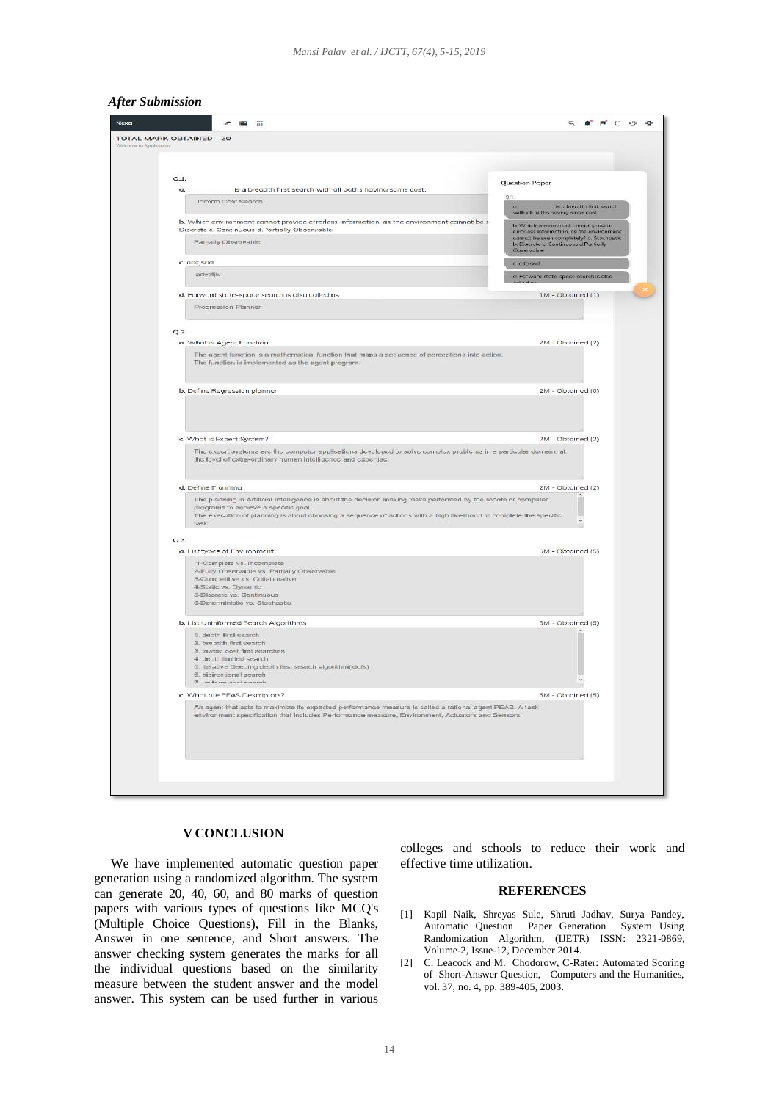#### *After Submission*



#### **V CONCLUSION**

 We have implemented automatic question paper generation using a randomized algorithm. The system can generate 20, 40, 60, and 80 marks of question papers with various types of questions like MCQ's (Multiple Choice Questions), Fill in the Blanks, Answer in one sentence, and Short answers. The answer checking system generates the marks for all the individual questions based on the similarity measure between the student answer and the model answer. This system can be used further in various colleges and schools to reduce their work and effective time utilization.

#### **REFERENCES**

- [1] Kapil Naik, Shreyas Sule, Shruti Jadhav, Surya Pandey, Automatic Question Paper Generation System Using Randomization Algorithm, (IJETR) ISSN: 2321-0869, Volume-2, Issue-12, December 2014.
- [2] C. Leacock and M. Chodorow, C-Rater: Automated Scoring of Short-Answer Question, Computers and the Humanities, vol. 37, no. 4, pp. 389-405, 2003.